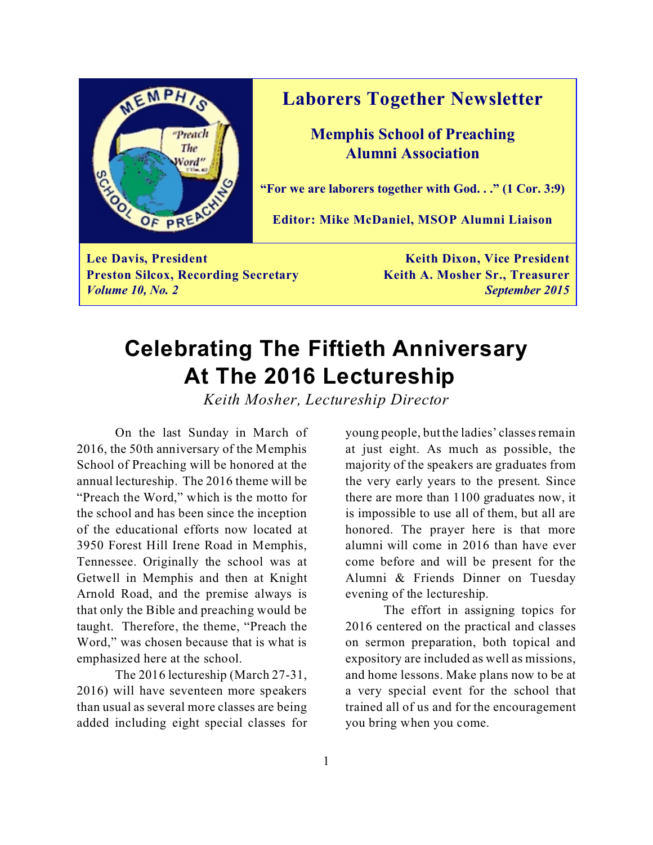

### **Laborers Together Newsletter**

**Memphis School of Preaching Alumni Association**

**"For we are laborers together with God. . ." (1 Cor. 3:9)**

**Editor: Mike McDaniel, MSOP Alumni Liaison**

**Lee Davis, President Keith Dixon, Vice President Preston Silcox, Recording Secretary <b>Keith A. Mosher Sr., Treasurer** *Volume 10, No. 2 September 2015*

# **Celebrating The Fiftieth Anniversary At The 2016 Lectureship**

*Keith Mosher, Lectureship Director*

On the last Sunday in March of 2016, the 50th anniversary of the Memphis School of Preaching will be honored at the annual lectureship. The 2016 theme will be "Preach the Word," which is the motto for the school and has been since the inception of the educational efforts now located at 3950 Forest Hill Irene Road in Memphis, Tennessee. Originally the school was at Getwell in Memphis and then at Knight Arnold Road, and the premise always is that only the Bible and preaching would be taught. Therefore, the theme, "Preach the Word," was chosen because that is what is emphasized here at the school.

The 2016 lectureship (March 27-31, 2016) will have seventeen more speakers than usual as several more classes are being added including eight special classes for young people, but the ladies' classes remain at just eight. As much as possible, the majority of the speakers are graduates from the very early years to the present. Since there are more than 1100 graduates now, it is impossible to use all of them, but all are honored. The prayer here is that more alumni will come in 2016 than have ever come before and will be present for the Alumni & Friends Dinner on Tuesday evening of the lectureship.

The effort in assigning topics for 2016 centered on the practical and classes on sermon preparation, both topical and expository are included as well as missions, and home lessons. Make plans now to be at a very special event for the school that trained all of us and for the encouragement you bring when you come.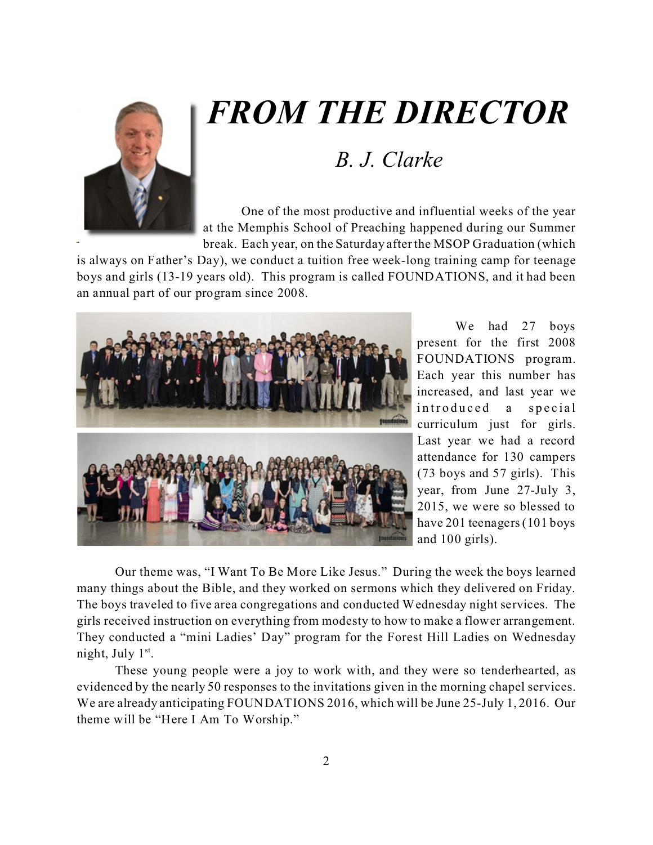

# *FROM THE DIRECTOR*

### *B. J. Clarke*

One of the most productive and influential weeks of the year at the Memphis School of Preaching happened during our Summer break. Each year, on the Saturday after the MSOP Graduation (which

is always on Father's Day), we conduct a tuition free week-long training camp for teenage boys and girls (13-19 years old). This program is called FOUNDATIONS, and it had been an annual part of our program since 2008.



We had 27 boys present for the first 2008 FOUNDATIONS program. Each year this number has increased, and last year we introduced a special curriculum just for girls. Last year we had a record attendance for 130 campers (73 boys and 57 girls). This year, from June 27-July 3, 2015, we were so blessed to have 201 teenagers (101 boys and 100 girls).

Our theme was, "I Want To Be More Like Jesus." During the week the boys learned many things about the Bible, and they worked on sermons which they delivered on Friday. The boys traveled to five area congregations and conducted Wednesday night services. The girls received instruction on everything from modesty to how to make a flower arrangement. They conducted a "mini Ladies' Day" program for the Forest Hill Ladies on Wednesday night, July 1<sup>st</sup>.

These young people were a joy to work with, and they were so tenderhearted, as evidenced by the nearly 50 responses to the invitations given in the morning chapel services. We are already anticipating FOUNDATIONS 2016, which will be June 25-July 1, 2016. Our theme will be "Here I Am To Worship."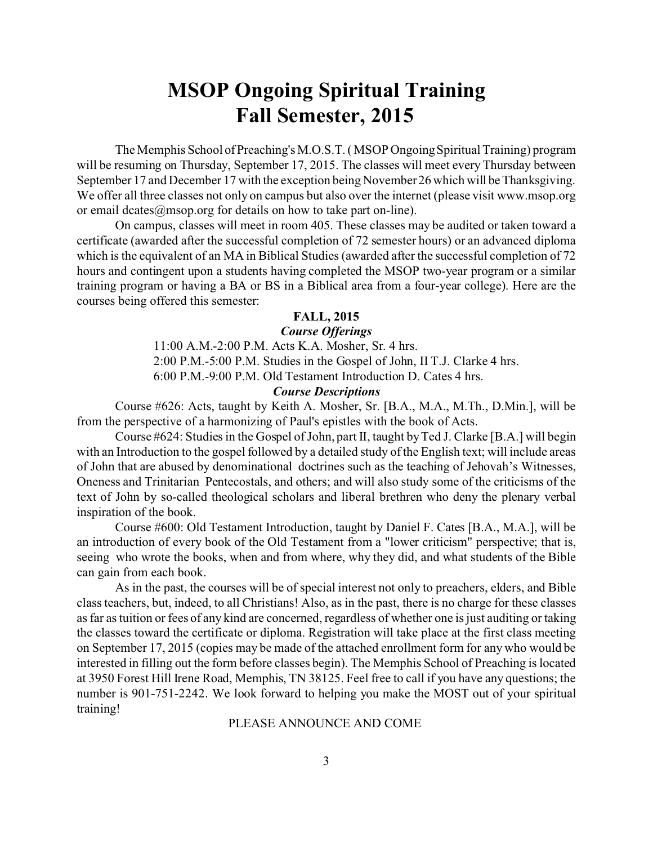### **MSOP Ongoing Spiritual Training Fall Semester, 2015**

The Memphis School ofPreaching's M.O.S.T. ( MSOP Ongoing Spiritual Training) program will be resuming on Thursday, September 17, 2015. The classes will meet every Thursday between September 17 and December 17 with the exception being November 26 which will be Thanksgiving. We offer all three classes not only on campus but also over the internet (please visit www.msop.org or email dcates@msop.org for details on how to take part on-line).

On campus, classes will meet in room 405. These classes may be audited or taken toward a certificate (awarded after the successful completion of 72 semester hours) or an advanced diploma which is the equivalent of an MA in Biblical Studies (awarded after the successful completion of 72 hours and contingent upon a students having completed the MSOP two-year program or a similar training program or having a BA or BS in a Biblical area from a four-year college). Here are the courses being offered this semester:

#### **FALL, 2015**

#### *Course Offerings*

11:00 A.M.-2:00 P.M. Acts K.A. Mosher, Sr. 4 hrs. 2:00 P.M.-5:00 P.M. Studies in the Gospel of John, II T.J. Clarke 4 hrs. 6:00 P.M.-9:00 P.M. Old Testament Introduction D. Cates 4 hrs.

#### *Course Descriptions*

Course #626: Acts, taught by Keith A. Mosher, Sr. [B.A., M.A., M.Th., D.Min.], will be from the perspective of a harmonizing of Paul's epistles with the book of Acts.

Course #624: Studies in the Gospel of John, part II, taught by Ted J. Clarke [B.A.] will begin with an Introduction to the gospel followed by a detailed study of the English text; will include areas of John that are abused by denominational doctrines such as the teaching of Jehovah's Witnesses, Oneness and Trinitarian Pentecostals, and others; and will also study some of the criticisms of the text of John by so-called theological scholars and liberal brethren who deny the plenary verbal inspiration of the book.

Course #600: Old Testament Introduction, taught by Daniel F. Cates [B.A., M.A.], will be an introduction of every book of the Old Testament from a "lower criticism" perspective; that is, seeing who wrote the books, when and from where, why they did, and what students of the Bible can gain from each book.

As in the past, the courses will be of special interest not only to preachers, elders, and Bible class teachers, but, indeed, to all Christians! Also, as in the past, there is no charge for these classes as far as tuition or fees of any kind are concerned, regardless of whether one is just auditing or taking the classes toward the certificate or diploma. Registration will take place at the first class meeting on September 17, 2015 (copies may be made of the attached enrollment form for any who would be interested in filling out the form before classes begin). The Memphis School of Preaching is located at 3950 Forest Hill Irene Road, Memphis, TN 38125. Feel free to call if you have any questions; the number is 901-751-2242. We look forward to helping you make the MOST out of your spiritual training!

#### PLEASE ANNOUNCE AND COME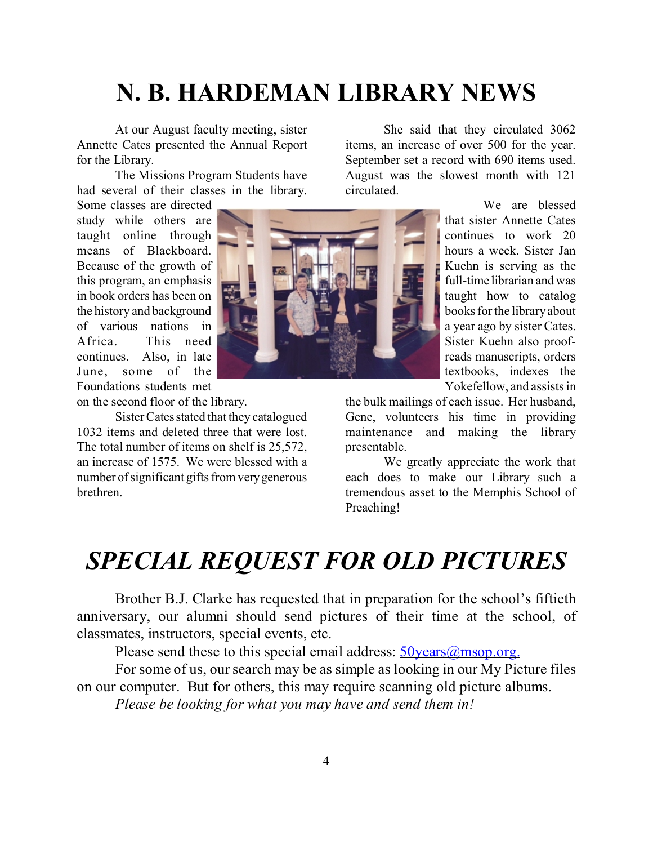# **N. B. HARDEMAN LIBRARY NEWS**

At our August faculty meeting, sister Annette Cates presented the Annual Report for the Library.

The Missions Program Students have had several of their classes in the library.

Some classes are directed study while others are taught online through means of Blackboard. Because of the growth of this program, an emphasis in book orders has been on the history and background of various nations in Africa. This need continues. Also, in late June, some of the Foundations students met

on the second floor of the library.

Sister Cates stated that they catalogued 1032 items and deleted three that were lost. The total number of items on shelf is 25,572, an increase of 1575. We were blessed with a number of significant gifts from verygenerous brethren.



She said that they circulated 3062 items, an increase of over 500 for the year. September set a record with 690 items used. August was the slowest month with 121 circulated.

> We are blessed that sister Annette Cates continues to work 20 hours a week. Sister Jan Kuehn is serving as the full-time librarian and was taught how to catalog books for the library about a year ago by sister Cates. Sister Kuehn also proofreads manuscripts, orders textbooks, indexes the Yokefellow, and assists in

the bulk mailings of each issue. Her husband, Gene, volunteers his time in providing maintenance and making the library presentable.

We greatly appreciate the work that each does to make our Library such a tremendous asset to the Memphis School of Preaching!

# *SPECIAL REQUEST FOR OLD PICTURES*

Brother B.J. Clarke has requested that in preparation for the school's fiftieth anniversary, our alumni should send pictures of their time at the school, of classmates, instructors, special events, etc.

Please send these to this special email address:  $50 \text{years}$  ( $\theta$ ) msop.org.

For some of us, our search may be as simple as looking in our My Picture files on our computer. But for others, this may require scanning old picture albums.

*Please be looking for what you may have and send them in!*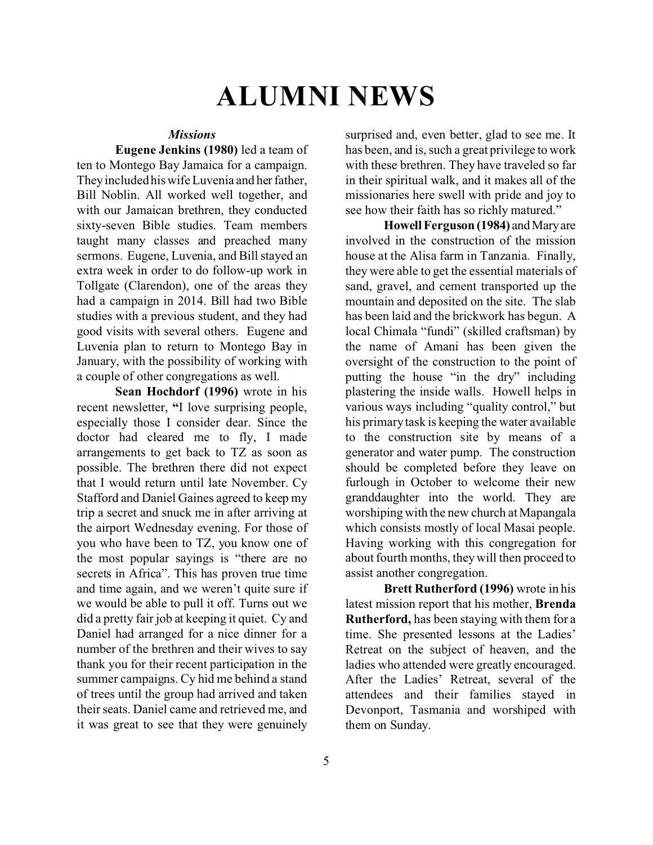# **ALUMNI NEWS**

#### *Missions*

**Eugene Jenkins (1980)** led a team of ten to Montego Bay Jamaica for a campaign. They included his wife Luvenia and her father, Bill Noblin. All worked well together, and with our Jamaican brethren, they conducted sixty-seven Bible studies. Team members taught many classes and preached many sermons. Eugene, Luvenia, and Bill stayed an extra week in order to do follow-up work in Tollgate (Clarendon), one of the areas they had a campaign in 2014. Bill had two Bible studies with a previous student, and they had good visits with several others. Eugene and Luvenia plan to return to Montego Bay in January, with the possibility of working with a couple of other congregations as well.

**Sean Hochdorf (1996)** wrote in his recent newsletter, **"**I love surprising people, especially those I consider dear. Since the doctor had cleared me to fly, I made arrangements to get back to TZ as soon as possible. The brethren there did not expect that I would return until late November. Cy Stafford and Daniel Gaines agreed to keep my trip a secret and snuck me in after arriving at the airport Wednesday evening. For those of you who have been to TZ, you know one of the most popular sayings is "there are no secrets in Africa". This has proven true time and time again, and we weren't quite sure if we would be able to pull it off. Turns out we did a pretty fair job at keeping it quiet. Cy and Daniel had arranged for a nice dinner for a number of the brethren and their wives to say thank you for their recent participation in the summer campaigns. Cy hid me behind a stand of trees until the group had arrived and taken their seats. Daniel came and retrieved me, and it was great to see that they were genuinely

surprised and, even better, glad to see me. It has been, and is, such a great privilege to work with these brethren. They have traveled so far in their spiritual walk, and it makes all of the missionaries here swell with pride and joy to see how their faith has so richly matured."

**Howell Ferguson (1984)** and Mary are involved in the construction of the mission house at the Alisa farm in Tanzania. Finally, they were able to get the essential materials of sand, gravel, and cement transported up the mountain and deposited on the site. The slab has been laid and the brickwork has begun. A local Chimala "fundi" (skilled craftsman) by the name of Amani has been given the oversight of the construction to the point of putting the house "in the dry" including plastering the inside walls. Howell helps in various ways including "quality control," but his primary task is keeping the water available to the construction site by means of a generator and water pump. The construction should be completed before they leave on furlough in October to welcome their new granddaughter into the world. They are worshiping with the new church at Mapangala which consists mostly of local Masai people. Having working with this congregation for about fourth months, they will then proceed to assist another congregation.

**Brett Rutherford (1996)** wrote in his latest mission report that his mother, **Brenda Rutherford,** has been staying with them for a time. She presented lessons at the Ladies' Retreat on the subject of heaven, and the ladies who attended were greatly encouraged. After the Ladies' Retreat, several of the attendees and their families stayed in Devonport, Tasmania and worshiped with them on Sunday.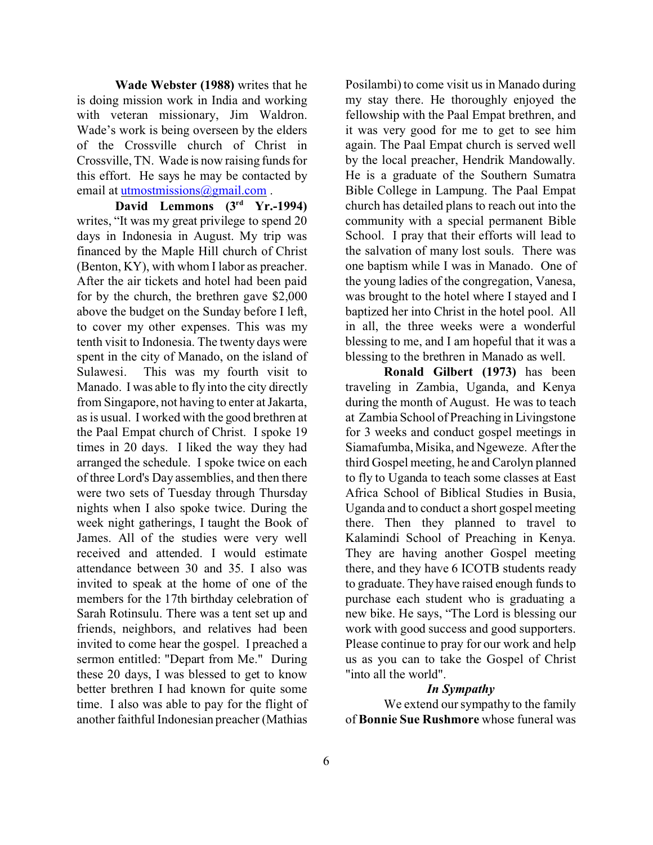**Wade Webster (1988)** writes that he is doing mission work in India and working with veteran missionary, Jim Waldron. Wade's work is being overseen by the elders of the Crossville church of Christ in Crossville, TN. Wade is now raising funds for this effort. He says he may be contacted by email at [utmostmissions@gmail.com](mailto:utmostmissions@gmail.com) .

**David Lemmons (3rd Yr.-1994)** writes, "It was my great privilege to spend 20 days in Indonesia in August. My trip was financed by the Maple Hill church of Christ (Benton, KY), with whom I labor as preacher. After the air tickets and hotel had been paid for by the church, the brethren gave \$2,000 above the budget on the Sunday before I left, to cover my other expenses. This was my tenth visit to Indonesia. The twenty days were spent in the city of Manado, on the island of Sulawesi. This was my fourth visit to Manado. I was able to fly into the city directly from Singapore, not having to enter at Jakarta, as is usual. I worked with the good brethren at the Paal Empat church of Christ. I spoke 19 times in 20 days. I liked the way they had arranged the schedule. I spoke twice on each of three Lord's Day assemblies, and then there were two sets of Tuesday through Thursday nights when I also spoke twice. During the week night gatherings, I taught the Book of James. All of the studies were very well received and attended. I would estimate attendance between 30 and 35. I also was invited to speak at the home of one of the members for the 17th birthday celebration of Sarah Rotinsulu. There was a tent set up and friends, neighbors, and relatives had been invited to come hear the gospel. I preached a sermon entitled: "Depart from Me." During these 20 days, I was blessed to get to know better brethren I had known for quite some time. I also was able to pay for the flight of another faithful Indonesian preacher (Mathias

Posilambi) to come visit us in Manado during my stay there. He thoroughly enjoyed the fellowship with the Paal Empat brethren, and it was very good for me to get to see him again. The Paal Empat church is served well by the local preacher, Hendrik Mandowally. He is a graduate of the Southern Sumatra Bible College in Lampung. The Paal Empat church has detailed plans to reach out into the community with a special permanent Bible School. I pray that their efforts will lead to the salvation of many lost souls. There was one baptism while I was in Manado. One of the young ladies of the congregation, Vanesa, was brought to the hotel where I stayed and I baptized her into Christ in the hotel pool. All in all, the three weeks were a wonderful blessing to me, and I am hopeful that it was a blessing to the brethren in Manado as well.

**Ronald Gilbert (1973)** has been traveling in Zambia, Uganda, and Kenya during the month of August. He was to teach at Zambia School of Preaching in Livingstone for 3 weeks and conduct gospel meetings in Siamafumba, Misika, and Ngeweze. After the third Gospel meeting, he and Carolyn planned to fly to Uganda to teach some classes at East Africa School of Biblical Studies in Busia, Uganda and to conduct a short gospel meeting there. Then they planned to travel to Kalamindi School of Preaching in Kenya. They are having another Gospel meeting there, and they have 6 ICOTB students ready to graduate. They have raised enough funds to purchase each student who is graduating a new bike. He says, "The Lord is blessing our work with good success and good supporters. Please continue to pray for our work and help us as you can to take the Gospel of Christ "into all the world".

#### *In Sympathy*

We extend our sympathy to the family of **Bonnie Sue Rushmore** whose funeral was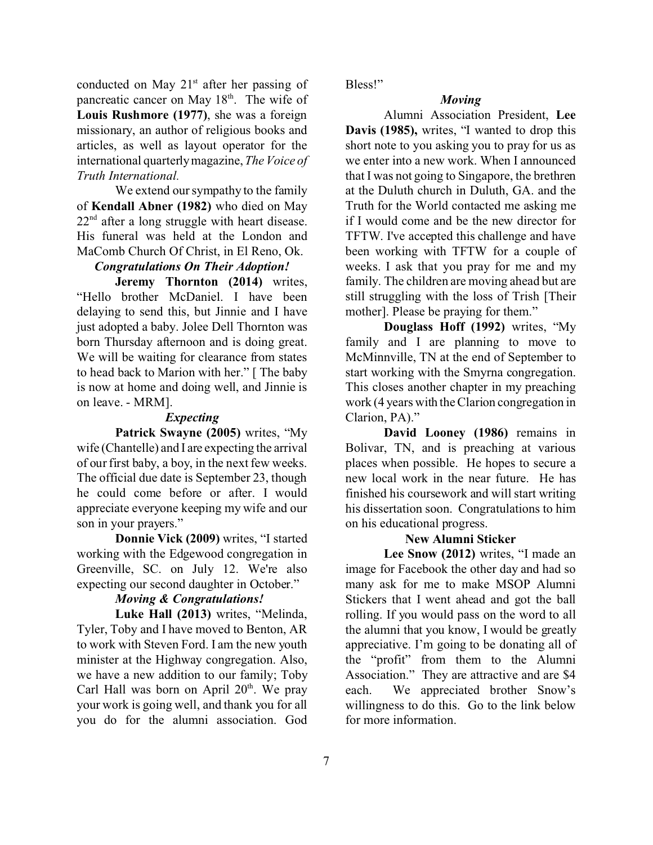conducted on May  $21<sup>st</sup>$  after her passing of pancreatic cancer on May 18<sup>th</sup>. The wife of **Louis Rushmore (1977)**, she was a foreign missionary, an author of religious books and articles, as well as layout operator for the international quarterly magazine, *The Voice of Truth International.*

We extend our sympathy to the family of **Kendall Abner (1982)** who died on May  $22<sup>nd</sup>$  after a long struggle with heart disease. His funeral was held at the London and MaComb Church Of Christ, in El Reno, Ok.

#### *Congratulations On Their Adoption!*

**Jeremy Thornton (2014)** writes, "Hello brother McDaniel. I have been delaying to send this, but Jinnie and I have just adopted a baby. Jolee Dell Thornton was born Thursday afternoon and is doing great. We will be waiting for clearance from states to head back to Marion with her." [ The baby is now at home and doing well, and Jinnie is on leave. - MRM].

#### *Expecting*

**Patrick Swayne (2005)** writes, "My wife (Chantelle) and I are expecting the arrival of our first baby, a boy, in the next few weeks. The official due date is September 23, though he could come before or after. I would appreciate everyone keeping my wife and our son in your prayers."

**Donnie Vick (2009)** writes, "I started working with the Edgewood congregation in Greenville, SC. on July 12. We're also expecting our second daughter in October."

#### *Moving & Congratulations!*

**Luke Hall (2013)** writes, "Melinda, Tyler, Toby and I have moved to Benton, AR to work with Steven Ford. I am the new youth minister at the Highway congregation. Also, we have a new addition to our family; Toby Carl Hall was born on April 20<sup>th</sup>. We pray your work is going well, and thank you for all you do for the alumni association. God

Bless!"

#### *Moving*

Alumni Association President, **Lee Davis (1985),** writes, "I wanted to drop this short note to you asking you to pray for us as we enter into a new work. When I announced that I was not going to Singapore, the brethren at the Duluth church in Duluth, GA. and the Truth for the World contacted me asking me if I would come and be the new director for TFTW. I've accepted this challenge and have been working with TFTW for a couple of weeks. I ask that you pray for me and my family. The children are moving ahead but are still struggling with the loss of Trish [Their mother]. Please be praying for them."

**Douglass Hoff (1992)** writes, "My family and I are planning to move to McMinnville, TN at the end of September to start working with the Smyrna congregation. This closes another chapter in my preaching work (4 years with the Clarion congregation in Clarion, PA)."

**David Looney (1986)** remains in Bolivar, TN, and is preaching at various places when possible. He hopes to secure a new local work in the near future. He has finished his coursework and will start writing his dissertation soon. Congratulations to him on his educational progress.

#### **New Alumni Sticker**

**Lee Snow (2012)** writes, "I made an image for Facebook the other day and had so many ask for me to make MSOP Alumni Stickers that I went ahead and got the ball rolling. If you would pass on the word to all the alumni that you know, I would be greatly appreciative. I'm going to be donating all of the "profit" from them to the Alumni Association." They are attractive and are \$4 each. We appreciated brother Snow's willingness to do this. Go to the link below for more information.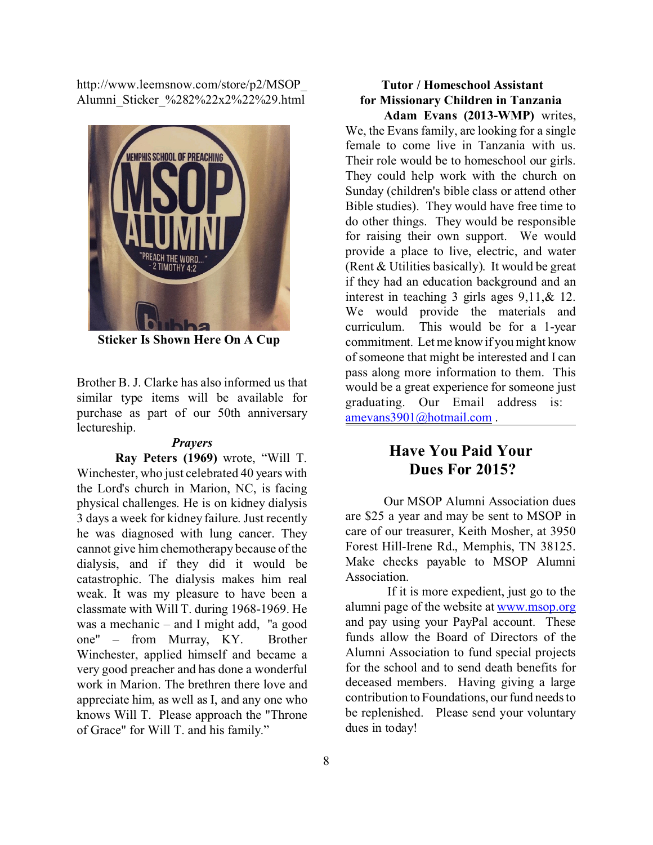http://www.leemsnow.com/store/p2/MSOP\_ Alumni\_Sticker\_%282%22x2%22%29.html



**Sticker Is Shown Here On A Cup**

Brother B. J. Clarke has also informed us that similar type items will be available for purchase as part of our 50th anniversary lectureship.

#### *Prayers*

**Ray Peters (1969)** wrote, "Will T. Winchester, who just celebrated 40 years with the Lord's church in Marion, NC, is facing physical challenges. He is on kidney dialysis 3 days a week for kidney failure. Just recently he was diagnosed with lung cancer. They cannot give him chemotherapy because of the dialysis, and if they did it would be catastrophic. The dialysis makes him real weak. It was my pleasure to have been a classmate with Will T. during 1968-1969. He was a mechanic – and I might add, "a good one" – from Murray, KY. Brother Winchester, applied himself and became a very good preacher and has done a wonderful work in Marion. The brethren there love and appreciate him, as well as I, and any one who knows Will T. Please approach the "Throne of Grace" for Will T. and his family."

#### **Tutor / Homeschool Assistant for Missionary Children in Tanzania Adam Evans (2013-WMP)** writes,

We, the Evans family, are looking for a single female to come live in Tanzania with us. Their role would be to homeschool our girls. They could help work with the church on Sunday (children's bible class or attend other Bible studies). They would have free time to do other things. They would be responsible for raising their own support. We would provide a place to live, electric, and water (Rent & Utilities basically). It would be great if they had an education background and an interest in teaching 3 girls ages 9,11,& 12. We would provide the materials and curriculum. This would be for a 1-year commitment. Let me know if you might know of someone that might be interested and I can pass along more information to them. This would be a great experience for someone just graduating. Our Email address is: [amevans3901@hotmail.com](mailto:amevans3901@hotmail.com) .

#### **Have You Paid Your Dues For 2015?**

Our MSOP Alumni Association dues are \$25 a year and may be sent to MSOP in care of our treasurer, Keith Mosher, at 3950 Forest Hill-Irene Rd., Memphis, TN 38125. Make checks payable to MSOP Alumni Association.

 If it is more expedient, just go to the alumni page of the website at [www.msop.org](http://www.msop.org) and pay using your PayPal account. These funds allow the Board of Directors of the Alumni Association to fund special projects for the school and to send death benefits for deceased members. Having giving a large contribution to Foundations, our fund needs to be replenished. Please send your voluntary dues in today!